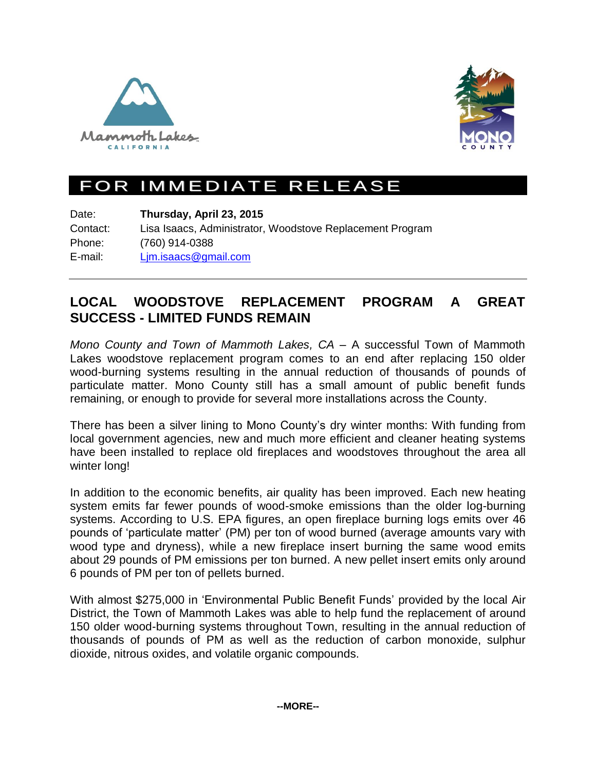



## FOR IMMEDIATE RELEASE

Date: **Thursday, April 23, 2015** Contact: Lisa Isaacs, Administrator, Woodstove Replacement Program Phone: (760) 914-0388 E-mail: [Ljm.isaacs@gmail.com](mailto:Ljm.isaacs@gmail.com)

## **LOCAL WOODSTOVE REPLACEMENT PROGRAM A GREAT SUCCESS - LIMITED FUNDS REMAIN**

*Mono County and Town of Mammoth Lakes, CA –* A successful Town of Mammoth Lakes woodstove replacement program comes to an end after replacing 150 older wood-burning systems resulting in the annual reduction of thousands of pounds of particulate matter. Mono County still has a small amount of public benefit funds remaining, or enough to provide for several more installations across the County.

There has been a silver lining to Mono County's dry winter months: With funding from local government agencies, new and much more efficient and cleaner heating systems have been installed to replace old fireplaces and woodstoves throughout the area all winter long!

In addition to the economic benefits, air quality has been improved. Each new heating system emits far fewer pounds of wood-smoke emissions than the older log-burning systems. According to U.S. EPA figures, an open fireplace burning logs emits over 46 pounds of 'particulate matter' (PM) per ton of wood burned (average amounts vary with wood type and dryness), while a new fireplace insert burning the same wood emits about 29 pounds of PM emissions per ton burned. A new pellet insert emits only around 6 pounds of PM per ton of pellets burned.

With almost \$275,000 in 'Environmental Public Benefit Funds' provided by the local Air District, the Town of Mammoth Lakes was able to help fund the replacement of around 150 older wood-burning systems throughout Town, resulting in the annual reduction of thousands of pounds of PM as well as the reduction of carbon monoxide, sulphur dioxide, nitrous oxides, and volatile organic compounds.